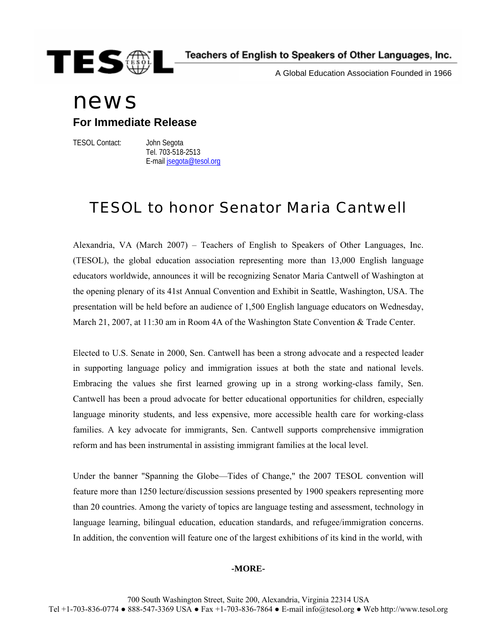

A Global Education Association Founded in 1966

## news

**For Immediate Release** 

TESOL Contact: John Segota

 Tel. 703-518-2513 E-mail [jsegota@tesol.org](mailto:jsegota@tesol.org)

## TESOL to honor Senator Maria Cantwell

Alexandria, VA (March 2007) – Teachers of English to Speakers of Other Languages, Inc. (TESOL), the global education association representing more than 13,000 English language educators worldwide, announces it will be recognizing Senator Maria Cantwell of Washington at the opening plenary of its 41st Annual Convention and Exhibit in Seattle, Washington, USA. The presentation will be held before an audience of 1,500 English language educators on Wednesday, March 21, 2007, at 11:30 am in Room 4A of the Washington State Convention & Trade Center.

Elected to U.S. Senate in 2000, Sen. Cantwell has been a strong advocate and a respected leader in supporting language policy and immigration issues at both the state and national levels. Embracing the values she first learned growing up in a strong working-class family, Sen. Cantwell has been a proud advocate for better educational opportunities for children, especially language minority students, and less expensive, more accessible health care for working-class families. A key advocate for immigrants, Sen. Cantwell supports comprehensive immigration reform and has been instrumental in assisting immigrant families at the local level.

Under the banner "Spanning the Globe—Tides of Change," the 2007 TESOL convention will feature more than 1250 lecture/discussion sessions presented by 1900 speakers representing more than 20 countries. Among the variety of topics are language testing and assessment, technology in language learning, bilingual education, education standards, and refugee/immigration concerns. In addition, the convention will feature one of the largest exhibitions of its kind in the world, with

## **-MORE-**